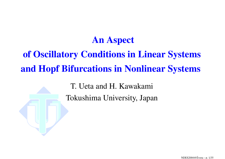#### **An Aspect**

# of Oscillatory Conditions in Linear Systems and Hopf Bifurcations in Nonlinear Systems

T. Ueta and H. Kawakami Tokushima University, Japan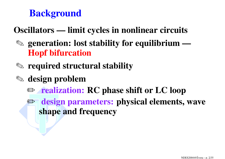# **Background**

#### **Oscillators — limit cycles in nonlinear circuits**

- ✎ **generation: lost stability for equilibrium — Hopf bifurcation**
- ✎ **required structural stability**
- ✎ **design problem**
	- ✏ **realization: RC phase shift or LC loop**
	- ✏ **design parameters: physical elements, wave shape and frequency**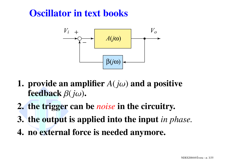## **Oscillator in text books**



- **1. provide** an amplifier  $A(j\omega)$  and a positive **feedback** β(*j*ω)**.**
- **2. the trigger can be** *noise* **in the circuitry.**
- **3. the output is applied into the input** *in phase.*
- **4. no external force is needed anymore.**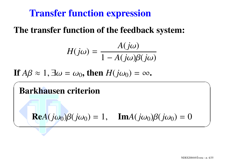## **Transfer function expression**

#### **The transfer function of the feedback system:**

$$
H(j\omega) = \frac{A(j\omega)}{1 - A(j\omega)\beta(j\omega)}
$$

 $\mathbf{H}^{\prime\prime} A \boldsymbol{\beta} \approx 1, \exists \omega = \omega_0, \text{ then } H(j\omega_0) = \infty.$ 

# $\sqrt{2\pi}$ **Barkhausen criterion Re***A*( $j\omega_0$ ) $\beta(j\omega_0) = 1$ , **Im***A*( $j\omega_0$ ) $\beta(j\omega_0) = 0$ ✑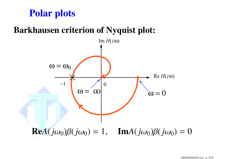# **Polar plots**

#### **Barkhausen criterion of Nyquist plot:**

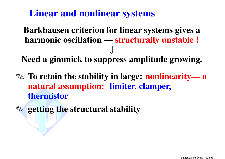**Linear and nonlinear systems**

**Barkhausen criterion for linear systems gives <sup>a</sup> harmonic oscillation — structurally unstable !** ⇓

**Need <sup>a</sup> gimmick to suppress amplitude growing.**

- ✎ **To retain the stability in large: nonlinearity— <sup>a</sup> natural assumption: limiter, clamper, thermistor**
- ✎ **getting the structural stability**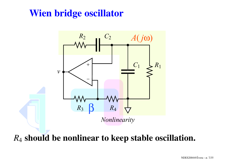# **Wien bridge oscillator**



*R*4 **should be nonlinear to keep stable oscillation.**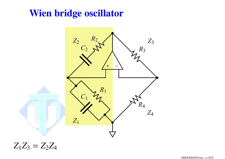## **Wien bridge oscillator**



 $Z_1Z_3 = Z_2Z_4$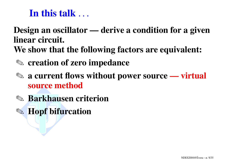# **In this talk** . . .

#### **Design an oscillator — derive <sup>a</sup> condition for <sup>a</sup> given linear circuit. We show that the following factors are equivalent:**

- ✎ **creation of zero impedance**
- ✎ **<sup>a</sup> current flows without power source — virtual source method**
- ✎ **Barkhausen criterion**
- ✎ **Hopf bifurcation**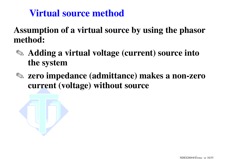# **Virtual source method**

**Assumption of <sup>a</sup> virtual source by using the phasor method:**

- ✎ **Adding <sup>a</sup> virtual voltage (current) source into the system**
- ✎ **zero impedance (admittance) makes <sup>a</sup> non-zero current (voltage) without source**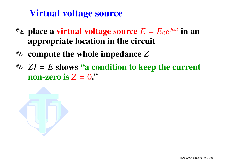# **Virtual voltage source**

- $\Diamond$  place a virtual voltage source  $E = E_0 e^{j\omega t}$  in an **appropriate location in the circuit**
- ✎ **compute the whole impedance** *Z*
- ✎ *ZI* <sup>=</sup> *E* **shows "a condition to keep the current non-zero is** *Z* <sup>=</sup> 0**."**

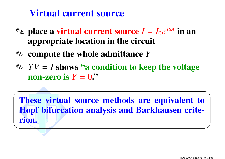### **Virtual current source**

- $\textcircled*$  place a virtual current source  $I = I_0e^{j\omega t}$  in an **appropriate location in the circuit**
- ✎ **compute the whole admittance** *Y*
- ✎ *YV* <sup>=</sup> *I* **shows "a condition to keep the voltage non-zero is** *Y* <sup>=</sup> 0**."**

 $\sqrt{2\pi}$ **These virtual source methods are equivalent to Hopf bifurcation analysis and Barkhausen criterion.** ✒<u> Expanding the contract of the contract of the contract of the contract of the contract of the contract of the contract of the contract of the contract of the contract of the contract of the contract of the contract of th</u>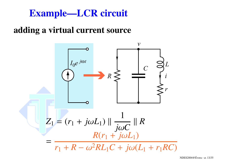## **Example—LCR circuit**

#### **adding <sup>a</sup> virtual current source**



NDES2004@Évora – p. 13/35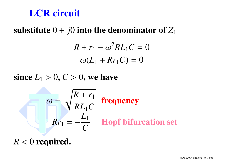# **LCR circuit**

**substitute** 0 + *j*0 **into the denominator of** *Z*<sup>1</sup>

$$
R + r_1 - \omega^2 R L_1 C = 0
$$
  

$$
\omega (L_1 + R r_1 C) = 0
$$

 $\mathbf{s}$  ince  $L_1 > 0, C > 0,$  we have

$$
\omega = \sqrt{\frac{R + r_1}{RL_1C}}
$$
 frequency  

$$
Rr_1 = -\frac{L_1}{C}
$$
 Hopf bifurcation set

*R* < 0 **required.**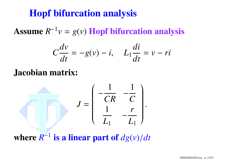## **Hopf bifurcation analysis**

**Assume** *R*−1*<sup>v</sup>* <sup>=</sup> *g*(*v*) **Hopf bifurcation analysis**

$$
C\frac{dv}{dt} = -g(v) - i, \quad L_1 \frac{di}{dt} = v - ri
$$

#### **Jacobian matrix:**

$$
J = \left(\begin{array}{cc} \frac{1}{CR} & \frac{1}{C} \\ \frac{1}{L_1} & \frac{r}{L_1} \end{array}\right).
$$

**where** *R*−<sup>1</sup> **is <sup>a</sup> linear part of** *dg*(*v*)/*dt*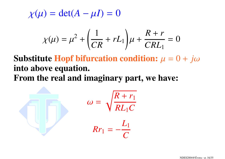$\chi(\mu) = \det(A - \mu I) = 0$ 

$$
\chi(\mu) = \mu^2 + \left(\frac{1}{CR} + rL_1\right)\mu + \frac{R+r}{CRL_1} = 0
$$

**Substitute Hopf bifurcation condition:**  $\mu = 0 + j\omega$ **into above equation. From the real and imaginary part, we have:**

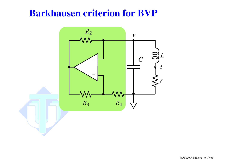### **Barkhausen criterion for BVP**

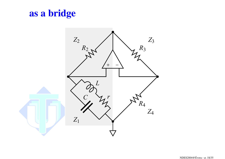# as a bridge

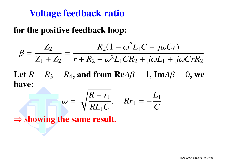## **Voltage feedback ratio**

#### **for the positive feedback loop:**

$$
\beta = \frac{Z_2}{Z_1 + Z_2} = \frac{R_2(1 - \omega^2 L_1 C + j\omega C r)}{r + R_2 - \omega^2 L_1 C R_2 + j\omega L_1 + j\omega C r R_2}
$$

Let  $R = R_3 = R_4$ , and from  $\textbf{Re} A\beta = 1$ ,  $\textbf{Im} A\beta = 0$ , we **have:**

$$
\omega = \sqrt{\frac{R+r_1}{RL_1C}}, \quad Rr_1 = -\frac{L_1}{C}
$$

⇒ **showing the same result.**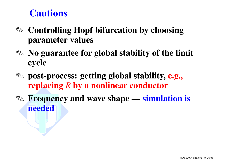## **Cautions**

- ✎ **Controlling Hopf bifurcation by choosing parameter values**
- ✎ **No guarantee for global stability of the limit cycle**
- ✎ **post-process: getting global stability, e.g., replacing** *R* **by <sup>a</sup> nonlinear conductor**
- ✎ **Frequency and wave shape — simulation is needed**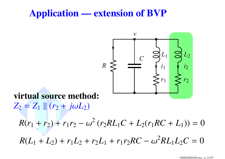## **Application — extension of BVP**



### **virtual source method:**

 $Z_2 = Z_1 || (r_2 + j\omega L_2)$ 

 $R(r_1 + r_2) + r_1r_2 - \omega^2(r_2RL_1C + L_2(r_1RC + L_1)) = 0$ 

 $R(L_1 + L_2) + r_1L_2 + r_2L_1 + r_1r_2RC - \omega^2RL_1L_2C = 0$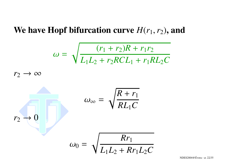#### We have Hopf bifurcation curve  $H(r_1, r_2)$ , and

$$
\omega = \sqrt{\frac{(r_1 + r_2)R + r_1r_2}{L_1L_2 + r_2RCL_1 + r_1RL_2C}}
$$

 $r_2 \rightarrow \infty$ 



NDES2004@Évora – p. 22/35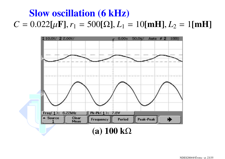# **Slow oscillation (6 kHz)**  $C = 0.022[\mu\text{F}], r_1 = 500[\Omega], L_1 = 10[\text{mH}], L_2 = 1[\text{mH}]$

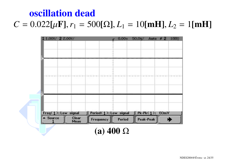#### NDES2004@Évora – p. 24/35

#### **(a) 400** Ω



# $C = 0.022[\mu\text{F}], r_1 = 500[\Omega], L_1 = 10[\text{mH}], L_2 = 1[\text{mH}]$

**oscillation dead**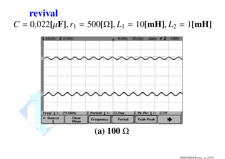#### NDES2004@Évora - p. 25/35

#### (a)  $100 \Omega$



#### revival

# $C = 0.022[\mu\text{F}], r_1 = 500[\Omega], L_1 = 10[\text{mH}], L_2 = 1[\text{mH}]$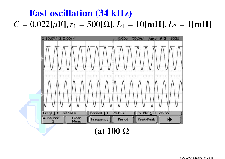# **Fast oscillation (34 kHz)**  $C = 0.022[\mu\text{F}], r_1 = 500[\Omega], L_1 = 10[\text{mH}], L_2 = 1[\text{mH}]$

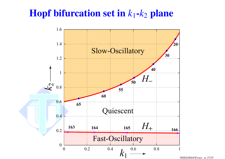## **Hopf bifurcation set in**  $k_1$ **-** $k_2$  **plane**



NDES2004@Évora-p. 27/35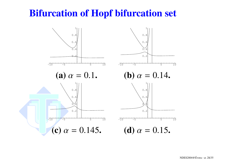# **Bifurcation of Hopf bifurcation set**

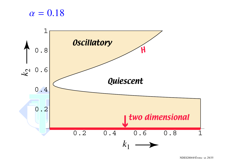#### $\alpha=0.18$



NDES2004@Évora – p. 29/35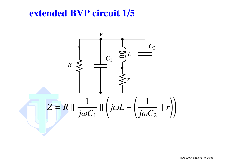#### **extended BVP circuit 1/5**

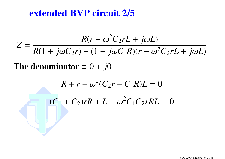#### **extended BVP circuit 2/5**

$$
Z = \frac{R(r - \omega^2 C_2 rL + j\omega L)}{R(1 + j\omega C_2 r) + (1 + j\omega C_1 R)(r - \omega^2 C_2 rL + j\omega L)}
$$
  
The denominator = 0 + j0  

$$
R + r - \omega^2 (C_2 r - C_1 R)L = 0
$$

$$
(C_1 + C_2) rR + L - \omega^2 C_1 C_2 rRL = 0
$$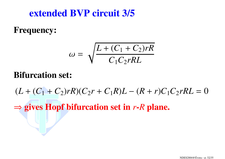#### **extended BVP circuit 3/5**

#### **Frequency:**

$$
\omega = \sqrt{\frac{L + (C_1 + C_2)rR}{C_1C_2rRL}}
$$

#### **Bifurcation set:**

 $(L + (C_1 + C_2)rR)(C_2r + C_1R)L - (R + r)C_1C_2rRL = 0$ 

⇒ **gives Hopf bifurcation set in** *<sup>r</sup>***-***R* **plane.**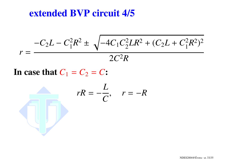#### **extended BVP circuit 4/5**

$$
r = \frac{-C_2 L - C_1^2 R^2 \pm \sqrt{-4C_1 C_2^2 L R^2 + (C_2 L + C_1^2 R^2)^2}}{2C^2 R}
$$

In case that 
$$
C_1 = C_2 = C
$$
:

$$
rR = -\frac{L}{C}, \quad r = -R
$$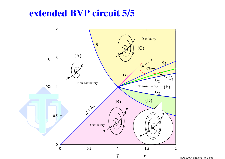#### **extended BVP circuit 5/5**



NDES2004@Évora – p. 34/35